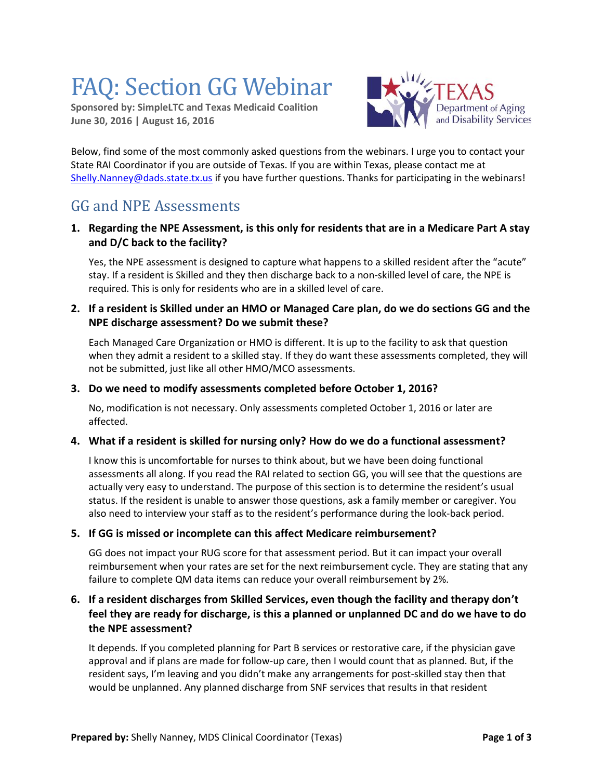# FAQ: Section GG Webinar

**Sponsored by: SimpleLTC and Texas Medicaid Coalition June 30, 2016 | August 16, 2016**



Below, find some of the most commonly asked questions from the webinars. I urge you to contact your State RAI Coordinator if you are outside of Texas. If you are within Texas, please contact me at [Shelly.Nanney@dads.state.tx.us](mailto:Shelly.Nanney@dads.state.tx.us) if you have further questions. Thanks for participating in the webinars!

# GG and NPE Assessments

**1. Regarding the NPE Assessment, is this only for residents that are in a Medicare Part A stay and D/C back to the facility?**

Yes, the NPE assessment is designed to capture what happens to a skilled resident after the "acute" stay. If a resident is Skilled and they then discharge back to a non-skilled level of care, the NPE is required. This is only for residents who are in a skilled level of care.

**2. If a resident is Skilled under an HMO or Managed Care plan, do we do sections GG and the NPE discharge assessment? Do we submit these?**

Each Managed Care Organization or HMO is different. It is up to the facility to ask that question when they admit a resident to a skilled stay. If they do want these assessments completed, they will not be submitted, just like all other HMO/MCO assessments.

#### **3. Do we need to modify assessments completed before October 1, 2016?**

No, modification is not necessary. Only assessments completed October 1, 2016 or later are affected.

#### **4. What if a resident is skilled for nursing only? How do we do a functional assessment?**

I know this is uncomfortable for nurses to think about, but we have been doing functional assessments all along. If you read the RAI related to section GG, you will see that the questions are actually very easy to understand. The purpose of this section is to determine the resident's usual status. If the resident is unable to answer those questions, ask a family member or caregiver. You also need to interview your staff as to the resident's performance during the look-back period.

#### **5. If GG is missed or incomplete can this affect Medicare reimbursement?**

GG does not impact your RUG score for that assessment period. But it can impact your overall reimbursement when your rates are set for the next reimbursement cycle. They are stating that any failure to complete QM data items can reduce your overall reimbursement by 2%.

## **6. If a resident discharges from Skilled Services, even though the facility and therapy don't feel they are ready for discharge, is this a planned or unplanned DC and do we have to do the NPE assessment?**

It depends. If you completed planning for Part B services or restorative care, if the physician gave approval and if plans are made for follow-up care, then I would count that as planned. But, if the resident says, I'm leaving and you didn't make any arrangements for post-skilled stay then that would be unplanned. Any planned discharge from SNF services that results in that resident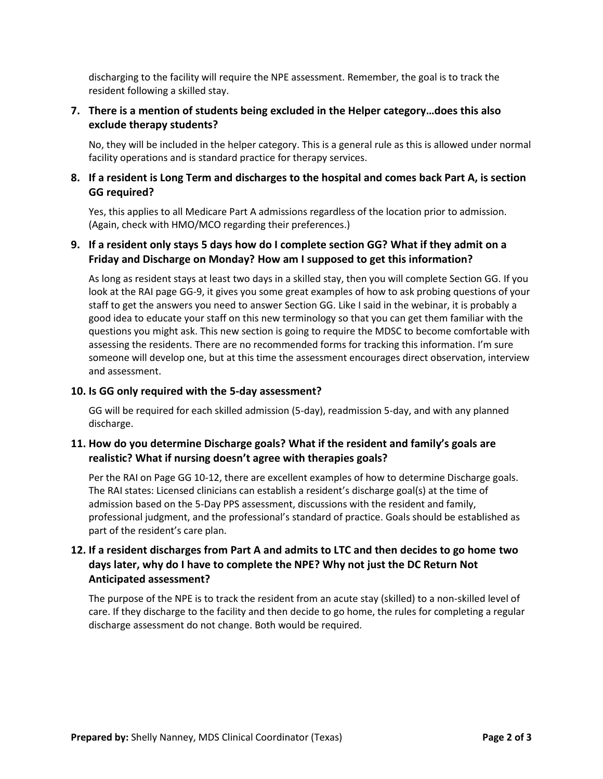discharging to the facility will require the NPE assessment. Remember, the goal is to track the resident following a skilled stay.

## **7. There is a mention of students being excluded in the Helper category…does this also exclude therapy students?**

No, they will be included in the helper category. This is a general rule as this is allowed under normal facility operations and is standard practice for therapy services.

#### **8. If a resident is Long Term and discharges to the hospital and comes back Part A, is section GG required?**

Yes, this applies to all Medicare Part A admissions regardless of the location prior to admission. (Again, check with HMO/MCO regarding their preferences.)

#### **9. If a resident only stays 5 days how do I complete section GG? What if they admit on a Friday and Discharge on Monday? How am I supposed to get this information?**

As long as resident stays at least two days in a skilled stay, then you will complete Section GG. If you look at the RAI page GG-9, it gives you some great examples of how to ask probing questions of your staff to get the answers you need to answer Section GG. Like I said in the webinar, it is probably a good idea to educate your staff on this new terminology so that you can get them familiar with the questions you might ask. This new section is going to require the MDSC to become comfortable with assessing the residents. There are no recommended forms for tracking this information. I'm sure someone will develop one, but at this time the assessment encourages direct observation, interview and assessment.

#### **10. Is GG only required with the 5-day assessment?**

GG will be required for each skilled admission (5-day), readmission 5-day, and with any planned discharge.

#### **11. How do you determine Discharge goals? What if the resident and family's goals are realistic? What if nursing doesn't agree with therapies goals?**

Per the RAI on Page GG 10-12, there are excellent examples of how to determine Discharge goals. The RAI states: Licensed clinicians can establish a resident's discharge goal(s) at the time of admission based on the 5-Day PPS assessment, discussions with the resident and family, professional judgment, and the professional's standard of practice. Goals should be established as part of the resident's care plan.

## **12. If a resident discharges from Part A and admits to LTC and then decides to go home two days later, why do I have to complete the NPE? Why not just the DC Return Not Anticipated assessment?**

The purpose of the NPE is to track the resident from an acute stay (skilled) to a non-skilled level of care. If they discharge to the facility and then decide to go home, the rules for completing a regular discharge assessment do not change. Both would be required.